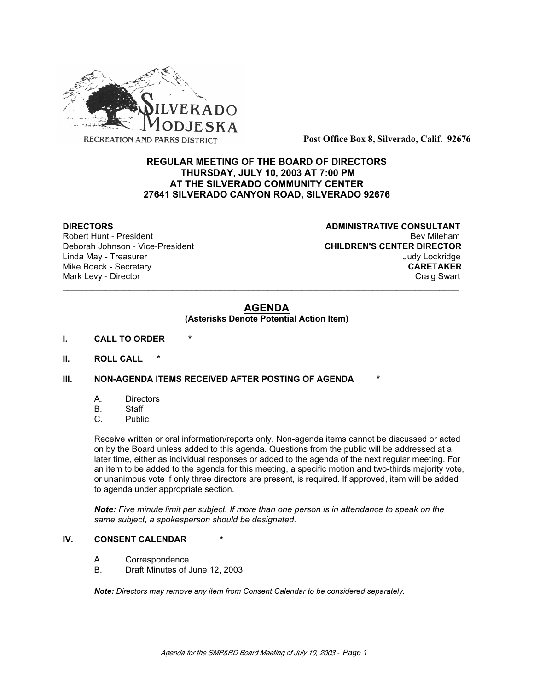

**Post Office Box 8, Silverado, Calif. 92676**

# **REGULAR MEETING OF THE BOARD OF DIRECTORS THURSDAY, JULY 10, 2003 AT 7:00 PM AT THE SILVERADO COMMUNITY CENTER 27641 SILVERADO CANYON ROAD, SILVERADO 92676**

Deborah Johnson - Vice-President

**DIRECTORS CONSULTANT** Robert Hunt - President and Exercise in the Seville Bev Mileham<br>Deborah Johnson - Vice-President and Beville CHILDREN'S CENTER DIRECTOR Linda May - Treasurer Judy Lockridge Mike Boeck - Secretary **CARETAKER** Mark Levy - Director **Craig Swart** Craig Swart Craig Swart Craig Swart

# **AGENDA**

\_\_\_\_\_\_\_\_\_\_\_\_\_\_\_\_\_\_\_\_\_\_\_\_\_\_\_\_\_\_\_\_\_\_\_\_\_\_\_\_\_\_\_\_\_\_\_\_\_\_\_\_\_\_\_\_\_\_\_\_\_\_\_\_\_\_\_\_\_\_\_\_\_\_\_\_\_\_\_\_\_\_\_

### **(Asterisks Denote Potential Action Item)**

- **I. CALL TO ORDER \***
- **II. ROLL CALL \***

# **III. NON-AGENDA ITEMS RECEIVED AFTER POSTING OF AGENDA**

- A. Directors
- B. Staff
- C. Public

Receive written or oral information/reports only. Non-agenda items cannot be discussed or acted on by the Board unless added to this agenda. Questions from the public will be addressed at a later time, either as individual responses or added to the agenda of the next regular meeting. For an item to be added to the agenda for this meeting, a specific motion and two-thirds majority vote, or unanimous vote if only three directors are present, is required. If approved, item will be added to agenda under appropriate section.

*Note: Five minute limit per subject. If more than one person is in attendance to speak on the same subject, a spokesperson should be designated.*

### **IV. CONSENT CALENDAR**

- A. Correspondence
- B. Draft Minutes of June 12, 2003

*Note: Directors may remove any item from Consent Calendar to be considered separately.*